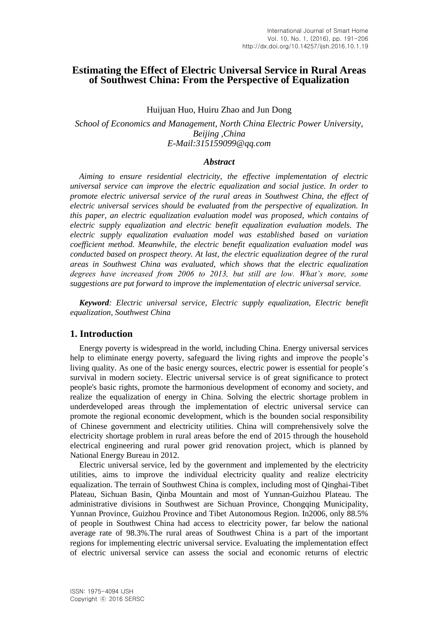# **Estimating the Effect of Electric Universal Service in Rural Areas of Southwest China: From the Perspective of Equalization**

Huijuan Huo, Huiru Zhao and Jun Dong

*School of Economics and Management, North China Electric Power University, Beijing ,China E-Mail:315159099@qq.com* 

#### *Abstract*

*Aiming to ensure residential electricity, the effective implementation of electric universal service can improve the electric equalization and social justice. In order to promote electric universal service of the rural areas in Southwest China, the effect of electric universal services should be evaluated from the perspective of equalization. In this paper, an electric equalization evaluation model was proposed, which contains of electric supply equalization and electric benefit equalization evaluation models. The electric supply equalization evaluation model was established based on variation coefficient method. Meanwhile, the electric benefit equalization evaluation model was conducted based on prospect theory. At last, the electric equalization degree of the rural areas in Southwest China was evaluated, which shows that the electric equalization degrees have increased from 2006 to 2013, but still are low. What's more, some suggestions are put forward to improve the implementation of electric universal service.*

*Keyword: Electric universal service, Electric supply equalization, Electric benefit equalization, Southwest China*

### **1. Introduction**

Energy poverty is widespread in the world, including China. Energy universal services help to eliminate energy poverty, safeguard the living rights and improve the people's living quality. As one of the basic energy sources, electric power is essential for people's survival in modern society. Electric universal service is of great significance to protect people's basic rights, promote the harmonious development of economy and society, and realize the equalization of energy in China. Solving the electric shortage problem in underdeveloped areas through the implementation of electric universal service can promote the regional economic development, which is the bounden social responsibility of Chinese government and electricity utilities. China will comprehensively solve the electricity shortage problem in rural areas before the end of 2015 through the household electrical engineering and rural power grid renovation project, which is planned by National Energy Bureau in 2012.

Electric universal service, led by the government and implemented by the electricity utilities, aims to improve the individual electricity quality and realize electricity equalization. The terrain of Southwest China is complex, including most of Qinghai-Tibet Plateau, Sichuan Basin, Qinba Mountain and most of Yunnan-Guizhou Plateau. The administrative divisions in Southwest are Sichuan Province, Chongqing Municipality, Yunnan Province, Guizhou Province and Tibet Autonomous Region. In2006, only 88.5% of people in Southwest China had access to electricity power, far below the national average rate of 98.3%.The rural areas of Southwest China is a part of the important regions for implementing electric universal service. Evaluating the implementation effect of electric universal service can assess the social and economic returns of electric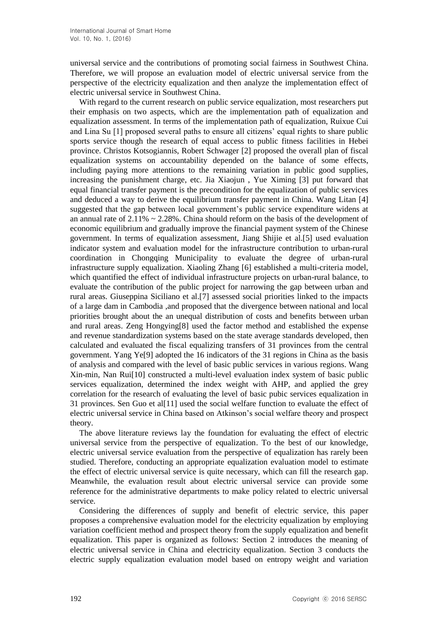universal service and the contributions of promoting social fairness in Southwest China. Therefore, we will propose an evaluation model of electric universal service from the perspective of the electricity equalization and then analyze the implementation effect of electric universal service in Southwest China.

With regard to the current research on public service equalization, most researchers put their emphasis on two aspects, which are the implementation path of equalization and equalization assessment. In terms of the implementation path of equalization, Ruixue Cui and Lina Su [1] proposed several paths to ensure all citizens' equal rights to share public sports service though the research of equal access to public fitness facilities in Hebei province. Christos Kotsogiannis, Robert Schwager [2] proposed the overall plan of fiscal equalization systems on accountability depended on the balance of some effects, including paying more attentions to the remaining variation in public good supplies, increasing the punishment charge, etc. Jia Xiaojun , Yue Ximing [3] put forward that equal financial transfer payment is the precondition for the equalization of public services and deduced a way to derive the equilibrium transfer payment in China. Wang Litan [4] suggested that the gap between local government's public service expenditure widens at an annual rate of  $2.11\% \sim 2.28\%$ . China should reform on the basis of the development of economic equilibrium and gradually improve the financial payment system of the Chinese government. In terms of equalization assessment, Jiang Shijie et al.[5] used evaluation indicator system and evaluation model for the infrastructure contribution to urban-rural coordination in Chongqing Municipality to evaluate the degree of urban-rural infrastructure supply equalization. Xiaoling Zhang [6] established a multi-criteria model, which quantified the effect of individual infrastructure projects on urban-rural balance, to evaluate the contribution of the public project for narrowing the gap between urban and rural areas. Giuseppina Siciliano et al.[7] assessed social priorities linked to the impacts of a large dam in Cambodia ,and proposed that the divergence between national and local priorities brought about the an unequal distribution of costs and benefits between urban and rural areas. Zeng Hongying[8] used the factor method and established the expense and revenue standardization systems based on the state average standards developed, then calculated and evaluated the fiscal equalizing transfers of 31 provinces from the central government. Yang Ye[9] adopted the 16 indicators of the 31 regions in China as the basis of analysis and compared with the level of basic public services in various regions. Wang Xin-min, Nan Rui[10] constructed a multi-level evaluation index system of basic public services equalization, determined the index weight with AHP, and applied the grey correlation for the research of evaluating the level of basic pubic services equalization in 31 provinces. Sen Guo et al[11] used the social welfare function to evaluate the effect of electric universal service in China based on Atkinson's social welfare theory and prospect theory.

The above literature reviews lay the foundation for evaluating the effect of electric universal service from the perspective of equalization. To the best of our knowledge, electric universal service evaluation from the perspective of equalization has rarely been studied. Therefore, conducting an appropriate equalization evaluation model to estimate the effect of electric universal service is quite necessary, which can fill the research gap. Meanwhile, the evaluation result about electric universal service can provide some reference for the administrative departments to make policy related to electric universal service.

Considering the differences of supply and benefit of electric service, this paper proposes a comprehensive evaluation model for the electricity equalization by employing variation coefficient method and prospect theory from the supply equalization and benefit equalization. This paper is organized as follows: Section 2 introduces the meaning of electric universal service in China and electricity equalization. Section 3 conducts the electric supply equalization evaluation model based on entropy weight and variation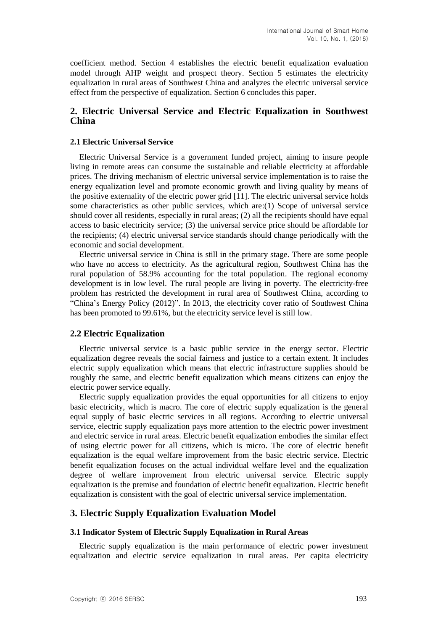coefficient method. Section 4 establishes the electric benefit equalization evaluation model through AHP weight and prospect theory. Section 5 estimates the electricity equalization in rural areas of Southwest China and analyzes the electric universal service effect from the perspective of equalization. Section 6 concludes this paper.

# **2. Electric Universal Service and Electric Equalization in Southwest China**

### **2.1 Electric Universal Service**

Electric Universal Service is a government funded project, aiming to insure people living in remote areas can consume the sustainable and reliable electricity at affordable prices. The driving mechanism of electric universal service implementation is to raise the energy equalization level and promote economic growth and living quality by means of the positive externality of the electric power grid [11]. The electric universal service holds some characteristics as other public services, which are:(1) Scope of universal service should cover all residents, especially in rural areas; (2) all the recipients should have equal access to basic electricity service; (3) the universal service price should be affordable for the recipients; (4) electric universal service standards should change periodically with the economic and social development.

Electric universal service in China is still in the primary stage. There are some people who have no access to electricity. As the agricultural region, Southwest China has the rural population of 58.9% accounting for the total population. The regional economy development is in low level. The rural people are living in poverty. The electricity-free problem has restricted the development in rural area of Southwest China, according to "China's Energy Policy (2012)". In 2013, the electricity cover ratio of Southwest China has been promoted to 99.61%, but the electricity service level is still low.

# **2.2 Electric Equalization**

Electric universal service is a basic public service in the energy sector. Electric equalization degree reveals the social fairness and justice to a certain extent. It includes electric supply equalization which means that electric infrastructure supplies should be roughly the same, and electric benefit equalization which means citizens can enjoy the electric power service equally.

Electric supply equalization provides the equal opportunities for all citizens to enjoy basic electricity, which is macro. The core of electric supply equalization is the general equal supply of basic electric services in all regions. According to electric universal service, electric supply equalization pays more attention to the electric power investment and electric service in rural areas. Electric benefit equalization embodies the similar effect of using electric power for all citizens, which is micro. The core of electric benefit equalization is the equal welfare improvement from the basic electric service. Electric benefit equalization focuses on the actual individual welfare level and the equalization degree of welfare improvement from electric universal service. Electric supply equalization is the premise and foundation of electric benefit equalization. Electric benefit equalization is consistent with the goal of electric universal service implementation.

# **3. Electric Supply Equalization Evaluation Model**

### **3.1 Indicator System of Electric Supply Equalization in Rural Areas**

Electric supply equalization is the main performance of electric power investment equalization and electric service equalization in rural areas. Per capita electricity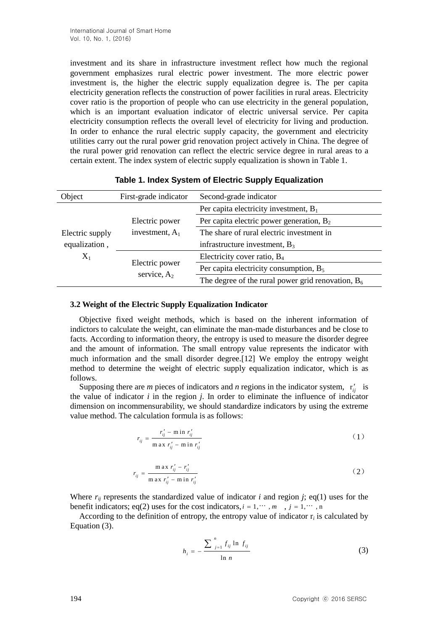investment and its share in infrastructure investment reflect how much the regional government emphasizes rural electric power investment. The more electric power investment is, the higher the electric supply equalization degree is. The per capita electricity generation reflects the construction of power facilities in rural areas. Electricity cover ratio is the proportion of people who can use electricity in the general population, which is an important evaluation indicator of electric universal service. Per capita electricity consumption reflects the overall level of electricity for living and production. In order to enhance the rural electric supply capacity, the government and electricity utilities carry out the rural power grid renovation project actively in China. The degree of the rural power grid renovation can reflect the electric service degree in rural areas to a certain extent. The index system of electric supply equalization is shown in Table 1.

| Object          | First-grade indicator                                 | Second-grade indicator                               |
|-----------------|-------------------------------------------------------|------------------------------------------------------|
|                 |                                                       | Per capita electricity investment, $B_1$             |
|                 | Electric power                                        | Per capita electric power generation, $B_2$          |
| Electric supply | investment, $A_1$<br>Electric power<br>service, $A_2$ | The share of rural electric investment in            |
| equalization,   |                                                       | infrastructure investment, $B_3$                     |
| $X_1$           |                                                       | Electricity cover ratio, $B_4$                       |
|                 |                                                       | Per capita electricity consumption, $B_5$            |
|                 |                                                       | The degree of the rural power grid renovation, $B_6$ |

## **Table 1. Index System of Electric Supply Equalization**

## **3.2 Weight of the Electric Supply Equalization Indicator**

Objective fixed weight methods, which is based on the inherent information of indictors to calculate the weight, can eliminate the man-made disturbances and be close to facts. According to information theory, the entropy is used to measure the disorder degree and the amount of information. The small entropy value represents the indicator with much information and the small disorder degree.[12] We employ the entropy weight method to determine the weight of electric supply equalization indicator, which is as follows.

Supposing there are *m* pieces of indicators and *n* regions in the indicator system,  $r_{ij}$  is the value of indicator *i* in the region *j*. In order to eliminate the influence of indicator dimension on incommensurability, we should standardize indicators by using the extreme value method. The calculation formula is as follows:

$$
r_{ij} = \frac{r'_{ij} - \min r'_{ij}}{\max r'_{ij} - \min r'_{ij}}
$$
\n
$$
\tag{1}
$$

$$
r_{ij} = \frac{\max r'_{ij} - r'_{ij}}{\max r'_{ij} - \min r'_{ij}}
$$
(2)

Where  $r_{ii}$  represents the standardized value of indicator *i* and region *j*; eq(1) uses for the benefit indicators; eq(2) uses for the cost indicators,  $i = 1, \dots, m, j = 1, \dots, n$ 

According to the definition of entropy, the entropy value of indicator  $r_i$  is calculated by Equation (3).

$$
h_{i} = -\frac{\sum_{j=1}^{n} f_{ij} \ln f_{ij}}{\ln n}
$$
 (3)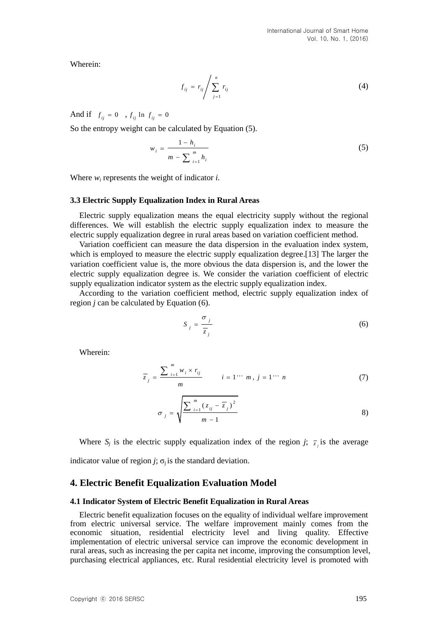Wherein:

$$
f_{ij} = r_{ij} \left/ \sum_{j=1}^{n} r_{ij} \right. \tag{4}
$$

And if  $f_{ij} = 0$ ,  $f_{ij} \ln f_{ij} = 0$ 

So the entropy weight can be calculated by Equation (5).

$$
w_{i} = \frac{1 - h_{i}}{m - \sum_{i=1}^{m} h_{i}}
$$
 (5)

Where *w<sup>i</sup>* represents the weight of indicator *i.*

#### **3.3 Electric Supply Equalization Index in Rural Areas**

Electric supply equalization means the equal electricity supply without the regional differences. We will establish the electric supply equalization index to measure the electric supply equalization degree in rural areas based on variation coefficient method.

Variation coefficient can measure the data dispersion in the evaluation index system, which is employed to measure the electric supply equalization degree.[13] The larger the variation coefficient value is, the more obvious the data dispersion is, and the lower the electric supply equalization degree is. We consider the variation coefficient of electric supply equalization indicator system as the electric supply equalization index.

According to the variation coefficient method, electric supply equalization index of region *j* can be calculated by Equation (6).

$$
S_j = \frac{\sigma_j}{\overline{z}_j} \tag{6}
$$

Wherein:

$$
\overline{z}_{j} = \frac{\sum_{i=1}^{m} w_{i} \times r_{ij}}{m} \qquad i = 1 \cdots m, j = 1 \cdots n
$$
 (7)

$$
\sigma_{j} = \sqrt{\frac{\sum_{i=1}^{m} (z_{ij} - \overline{z}_{j})^{2}}{m-1}}
$$
 (8)

Where  $S_j$  is the electric supply equalization index of the region *j*;  $\overline{z_j}$  is the average

indicator value of region *j*;  $\sigma_i$  is the standard deviation.

### **4. Electric Benefit Equalization Evaluation Model**

#### **4.1 Indicator System of Electric Benefit Equalization in Rural Areas**

Electric benefit equalization focuses on the equality of individual welfare improvement from electric universal service. The welfare improvement mainly comes from the economic situation, residential electricity level and living quality. Effective implementation of electric universal service can improve the economic development in rural areas, such as increasing the per capita net income, improving the consumption level, purchasing electrical appliances, etc. Rural residential electricity level is promoted with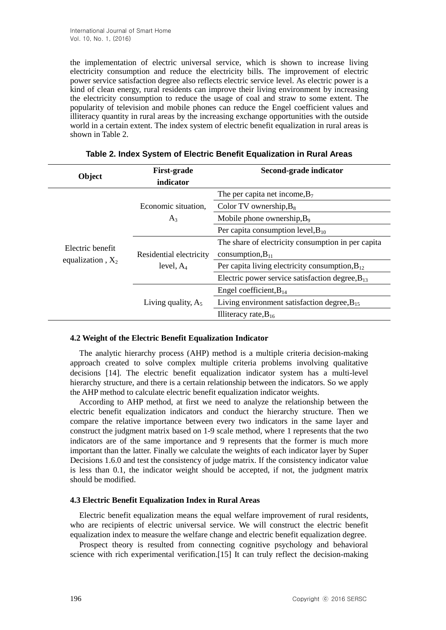the implementation of electric universal service, which is shown to increase living electricity consumption and reduce the electricity bills. The improvement of electric power service satisfaction degree also reflects electric service level. As electric power is a kind of clean energy, rural residents can improve their living environment by increasing the electricity consumption to reduce the usage of coal and straw to some extent. The popularity of television and mobile phones can reduce the Engel coefficient values and illiteracy quantity in rural areas by the increasing exchange opportunities with the outside world in a certain extent. The index system of electric benefit equalization in rural areas is shown in Table 2.

|                     | <b>First-grade</b>                      | Second-grade indicator                               |  |  |
|---------------------|-----------------------------------------|------------------------------------------------------|--|--|
| Object              | indicator                               |                                                      |  |  |
|                     |                                         | The per capita net income, $B_7$                     |  |  |
|                     | Economic situation,                     | Color TV ownership, $B_8$                            |  |  |
|                     | $A_3$                                   | Mobile phone ownership, $B_9$                        |  |  |
|                     |                                         | Per capita consumption level, $B_{10}$               |  |  |
|                     |                                         | The share of electricity consumption in per capita   |  |  |
| Electric benefit    | Residential electricity<br>level, $A_4$ | consumption, $B_{11}$                                |  |  |
| equalization, $X_2$ |                                         | Per capita living electricity consumption, $B_{12}$  |  |  |
|                     |                                         | Electric power service satisfaction degree, $B_{13}$ |  |  |
|                     | Living quality, $A_5$                   | Engel coefficient, $B_{14}$                          |  |  |
|                     |                                         | Living environment satisfaction degree, $B_{15}$     |  |  |
|                     |                                         | Illiteracy rate, $B_{16}$                            |  |  |

**Table 2. Index System of Electric Benefit Equalization in Rural Areas**

### **4.2 Weight of the Electric Benefit Equalization Indicator**

The analytic hierarchy process (AHP) method is a multiple criteria decision-making approach created to solve complex multiple criteria problems involving qualitative decisions [14]. The electric benefit equalization indicator system has a multi-level hierarchy structure, and there is a certain relationship between the indicators. So we apply the AHP method to calculate electric benefit equalization indicator weights.

According to AHP method, at first we need to analyze the relationship between the electric benefit equalization indicators and conduct the hierarchy structure. Then we compare the relative importance between every two indicators in the same layer and construct the judgment matrix based on 1-9 scale method, where 1 represents that the two indicators are of the same importance and 9 represents that the former is much more important than the latter. Finally we calculate the weights of each indicator layer by Super Decisions 1.6.0 and test the consistency of judge matrix. If the consistency indicator value is less than 0.1, the indicator weight should be accepted, if not, the judgment matrix should be modified.

### **4.3 Electric Benefit Equalization Index in Rural Areas**

Electric benefit equalization means the equal welfare improvement of rural residents, who are recipients of electric universal service. We will construct the electric benefit equalization index to measure the welfare change and electric benefit equalization degree.

Prospect theory is resulted from connecting cognitive psychology and behavioral science with rich experimental verification.[15] It can truly reflect the decision-making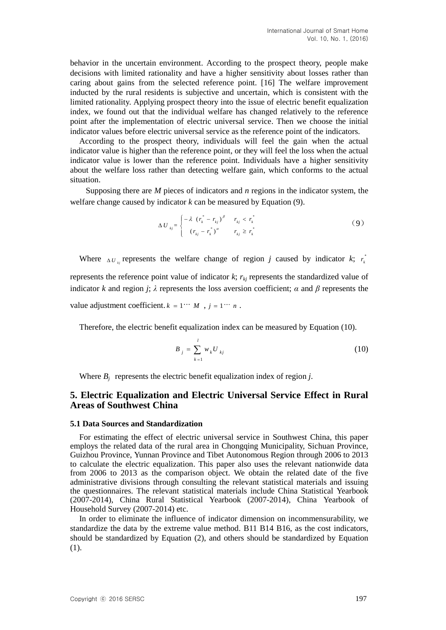behavior in the uncertain environment. According to the prospect theory, people make decisions with limited rationality and have a higher sensitivity about losses rather than caring about gains from the selected reference point. [16] The welfare improvement inducted by the rural residents is subjective and uncertain, which is consistent with the limited rationality. Applying prospect theory into the issue of electric benefit equalization index, we found out that the individual welfare has changed relatively to the reference point after the implementation of electric universal service. Then we choose the initial indicator values before electric universal service as the reference point of the indicators.

According to the prospect theory, individuals will feel the gain when the actual indicator value is higher than the reference point, or they will feel the loss when the actual indicator value is lower than the reference point. Individuals have a higher sensitivity about the welfare loss rather than detecting welfare gain, which conforms to the actual situation.

Supposing there are *M* pieces of indicators and *n* regions in the indicator system, the welfare change caused by indicator  $k$  can be measured by Equation  $(9)$ .

$$
\Delta U_{kj} = \begin{cases} -\lambda (r_k^* - r_{kj})^{\beta} & r_{kj} < r_k^* \\ (r_{kj} - r_k^*)^{\alpha} & r_{kj} \ge r_k^* \end{cases}
$$
 (9)

Where  $\Delta U_{kj}$  represents the welfare change of region *j* caused by indicator *k*;  $r_k^*$ *k r*

represents the reference point value of indicator  $k$ ;  $r_{ki}$  represents the standardized value of indicator *k* and region *j*;  $\lambda$  represents the loss aversion coefficient;  $\alpha$  and  $\beta$  represents the

value adjustment coefficient.  $k = 1$  "  $M$ ,  $j = 1$  "  $n$ .

Therefore, the electric benefit equalization index can be measured by Equation (10).

$$
B_{j} = \sum_{k=1}^{l} w_{k} U_{kj}
$$
 (10)

Where  $B_i$  represents the electric benefit equalization index of region *j*.

# **5. Electric Equalization and Electric Universal Service Effect in Rural Areas of Southwest China**

#### **5.1 Data Sources and Standardization**

For estimating the effect of electric universal service in Southwest China, this paper employs the related data of the rural area in Chongqing Municipality, Sichuan Province, Guizhou Province, Yunnan Province and Tibet Autonomous Region through 2006 to 2013 to calculate the electric equalization. This paper also uses the relevant nationwide data from 2006 to 2013 as the comparison object. We obtain the related date of the five administrative divisions through consulting the relevant statistical materials and issuing the questionnaires. The relevant statistical materials include China Statistical Yearbook (2007-2014), China Rural Statistical Yearbook (2007-2014), China Yearbook of Household Survey (2007-2014) etc.

In order to eliminate the influence of indicator dimension on incommensurability, we standardize the data by the extreme value method. B11 B14 B16, as the cost indicators, should be standardized by Equation (2), and others should be standardized by Equation (1).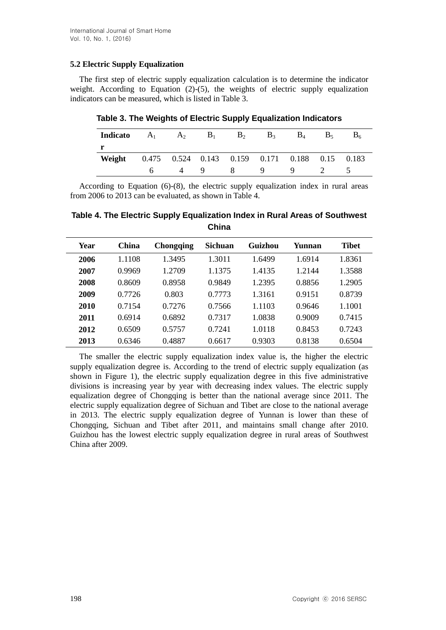# **5.2 Electric Supply Equalization**

The first step of electric supply equalization calculation is to determine the indicator weight. According to Equation (2)-(5), the weights of electric supply equalization indicators can be measured, which is listed in Table 3.

| Indicato |  | $A_1 \t A_2 \t B_1 \t B_2$ | $B_3$ | $B_4$                                          | B <sub>5</sub> | $B_6$    |
|----------|--|----------------------------|-------|------------------------------------------------|----------------|----------|
|          |  |                            |       |                                                |                |          |
| Weight   |  |                            |       | 0.475 0.524 0.143 0.159 0.171 0.188 0.15 0.183 |                |          |
|          |  |                            |       | 4 9 8 9 9 2                                    |                | $\sim$ 5 |

**Table 3. The Weights of Electric Supply Equalization Indicators**

According to Equation (6)-(8), the electric supply equalization index in rural areas from 2006 to 2013 can be evaluated, as shown in Table 4.

**Table 4. The Electric Supply Equalization Index in Rural Areas of Southwest China**

| Year | China  | <b>Chongqing</b> | <b>Sichuan</b> | Guizhou | Yunnan | <b>Tibet</b> |
|------|--------|------------------|----------------|---------|--------|--------------|
| 2006 | 1.1108 | 1.3495           | 1.3011         | 1.6499  | 1.6914 | 1.8361       |
| 2007 | 0.9969 | 1.2709           | 1.1375         | 1.4135  | 1.2144 | 1.3588       |
| 2008 | 0.8609 | 0.8958           | 0.9849         | 1.2395  | 0.8856 | 1.2905       |
| 2009 | 0.7726 | 0.803            | 0.7773         | 1.3161  | 0.9151 | 0.8739       |
| 2010 | 0.7154 | 0.7276           | 0.7566         | 1.1103  | 0.9646 | 1.1001       |
| 2011 | 0.6914 | 0.6892           | 0.7317         | 1.0838  | 0.9009 | 0.7415       |
| 2012 | 0.6509 | 0.5757           | 0.7241         | 1.0118  | 0.8453 | 0.7243       |
| 2013 | 0.6346 | 0.4887           | 0.6617         | 0.9303  | 0.8138 | 0.6504       |

The smaller the electric supply equalization index value is, the higher the electric supply equalization degree is. According to the trend of electric supply equalization (as shown in Figure 1), the electric supply equalization degree in this five administrative divisions is increasing year by year with decreasing index values. The electric supply equalization degree of Chongqing is better than the national average since 2011. The electric supply equalization degree of Sichuan and Tibet are close to the national average in 2013. The electric supply equalization degree of Yunnan is lower than these of Chongqing, Sichuan and Tibet after 2011, and maintains small change after 2010. Guizhou has the lowest electric supply equalization degree in rural areas of Southwest China after 2009.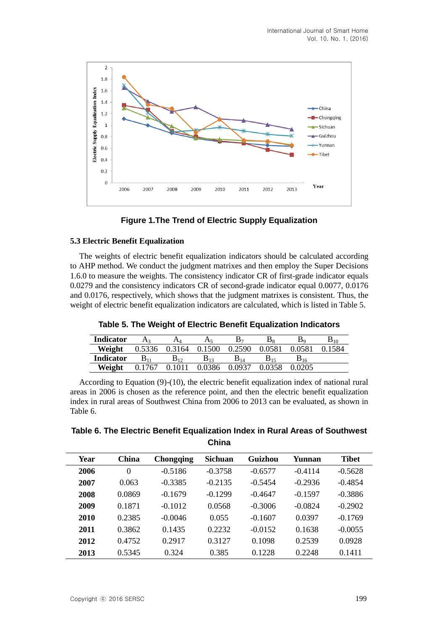



### **5.3 Electric Benefit Equalization**

The weights of electric benefit equalization indicators should be calculated according to AHP method. We conduct the judgment matrixes and then employ the Super Decisions 1.6.0 to measure the weights. The consistency indicator CR of first-grade indicator equals 0.0279 and the consistency indicators CR of second-grade indicator equal 0.0077, 0.0176 and 0.0176, respectively, which shows that the judgment matrixes is consistent. Thus, the weight of electric benefit equalization indicators are calculated, which is listed in Table 5.

|                  | - -           |          |          |                   |        |        |          |
|------------------|---------------|----------|----------|-------------------|--------|--------|----------|
| <b>Indicator</b> |               | Aл       | As,      |                   | B۶     | Do.    | $B_{10}$ |
| Weight           | 0.5336 0.3164 |          | 0.1500   | 0.2590            | 0.0581 | 0.0581 | 0.1584   |
| <b>Indicator</b> | B11           | $B_{12}$ | $B_{12}$ | $\mathbf{D}_{14}$ |        | D 16   |          |
| Weight           | 0.1767        |          | 0.0386   | 0.0937            |        |        |          |

**Weight** 0.1767 0.1011 0.0386 0.0937 0.0358 0.0205

**Table 5. The Weight of Electric Benefit Equalization Indicators**

According to Equation (9)-(10), the electric benefit equalization index of national rural areas in 2006 is chosen as the reference point, and then the electric benefit equalization index in rural areas of Southwest China from 2006 to 2013 can be evaluated, as shown in Table 6.

# **Table 6. The Electric Benefit Equalization Index in Rural Areas of Southwest China**

| Year | China  | <b>Chongqing</b> | <b>Sichuan</b> | Guizhou   | Yunnan    | <b>Tibet</b> |
|------|--------|------------------|----------------|-----------|-----------|--------------|
| 2006 | 0      | $-0.5186$        | $-0.3758$      | $-0.6577$ | $-0.4114$ | $-0.5628$    |
| 2007 | 0.063  | $-0.3385$        | $-0.2135$      | $-0.5454$ | $-0.2936$ | $-0.4854$    |
| 2008 | 0.0869 | $-0.1679$        | $-0.1299$      | $-0.4647$ | $-0.1597$ | $-0.3886$    |
| 2009 | 0.1871 | $-0.1012$        | 0.0568         | $-0.3006$ | $-0.0824$ | $-0.2902$    |
| 2010 | 0.2385 | $-0.0046$        | 0.055          | $-0.1607$ | 0.0397    | $-0.1769$    |
| 2011 | 0.3862 | 0.1435           | 0.2232         | $-0.0152$ | 0.1638    | $-0.0055$    |
| 2012 | 0.4752 | 0.2917           | 0.3127         | 0.1098    | 0.2539    | 0.0928       |
| 2013 | 0.5345 | 0.324            | 0.385          | 0.1228    | 0.2248    | 0.1411       |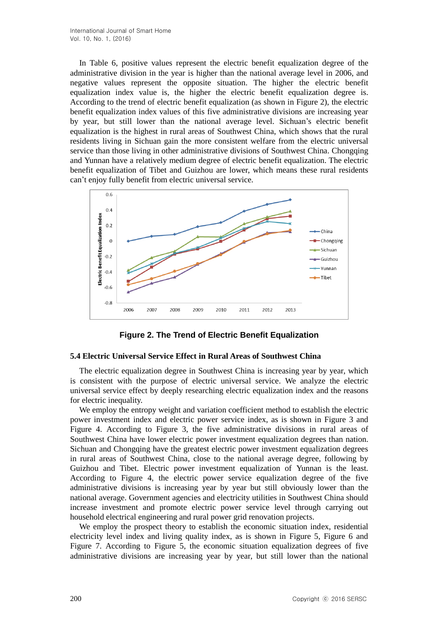In Table 6, positive values represent the electric benefit equalization degree of the administrative division in the year is higher than the national average level in 2006, and negative values represent the opposite situation. The higher the electric benefit equalization index value is, the higher the electric benefit equalization degree is. According to the trend of electric benefit equalization (as shown in Figure 2), the electric benefit equalization index values of this five administrative divisions are increasing year by year, but still lower than the national average level. Sichuan's electric benefit equalization is the highest in rural areas of Southwest China, which shows that the rural residents living in Sichuan gain the more consistent welfare from the electric universal service than those living in other administrative divisions of Southwest China. Chongqing and Yunnan have a relatively medium degree of electric benefit equalization. The electric benefit equalization of Tibet and Guizhou are lower, which means these rural residents can't enjoy fully benefit from electric universal service.



**Figure 2. The Trend of Electric Benefit Equalization**

### **5.4 Electric Universal Service Effect in Rural Areas of Southwest China**

The electric equalization degree in Southwest China is increasing year by year, which is consistent with the purpose of electric universal service. We analyze the electric universal service effect by deeply researching electric equalization index and the reasons for electric inequality.

We employ the entropy weight and variation coefficient method to establish the electric power investment index and electric power service index, as is shown in Figure 3 and Figure 4. According to Figure 3, the five administrative divisions in rural areas of Southwest China have lower electric power investment equalization degrees than nation. Sichuan and Chongqing have the greatest electric power investment equalization degrees in rural areas of Southwest China, close to the national average degree, following by Guizhou and Tibet. Electric power investment equalization of Yunnan is the least. According to Figure 4, the electric power service equalization degree of the five administrative divisions is increasing year by year but still obviously lower than the national average. Government agencies and electricity utilities in Southwest China should increase investment and promote electric power service level through carrying out household electrical engineering and rural power grid renovation projects.

We employ the prospect theory to establish the economic situation index, residential electricity level index and living quality index, as is shown in Figure 5, Figure 6 and Figure 7. According to Figure 5, the economic situation equalization degrees of five administrative divisions are increasing year by year, but still lower than the national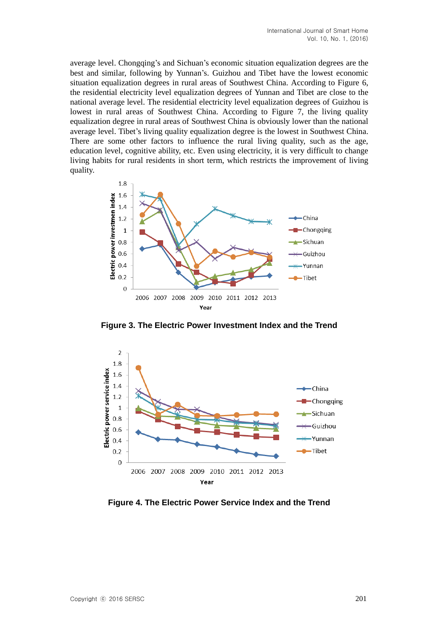average level. Chongqing's and Sichuan's economic situation equalization degrees are the best and similar, following by Yunnan's. Guizhou and Tibet have the lowest economic situation equalization degrees in rural areas of Southwest China. According to Figure 6, the residential electricity level equalization degrees of Yunnan and Tibet are close to the national average level. The residential electricity level equalization degrees of Guizhou is lowest in rural areas of Southwest China. According to Figure 7, the living quality equalization degree in rural areas of Southwest China is obviously lower than the national average level. Tibet's living quality equalization degree is the lowest in Southwest China. There are some other factors to influence the rural living quality, such as the age, education level, cognitive ability, etc. Even using electricity, it is very difficult to change living habits for rural residents in short term, which restricts the improvement of living quality.



**Figure 3. The Electric Power Investment Index and the Trend**



**Figure 4. The Electric Power Service Index and the Trend**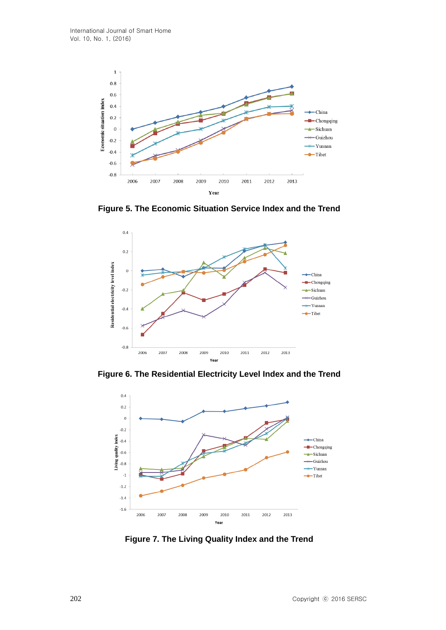

**Figure 5. The Economic Situation Service Index and the Trend**



**Figure 6. The Residential Electricity Level Index and the Trend**



**Figure 7. The Living Quality Index and the Trend**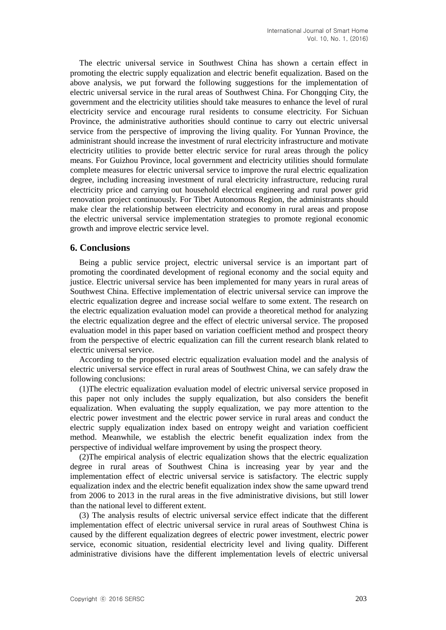The electric universal service in Southwest China has shown a certain effect in promoting the electric supply equalization and electric benefit equalization. Based on the above analysis, we put forward the following suggestions for the implementation of electric universal service in the rural areas of Southwest China. For Chongqing City, the government and the electricity utilities should take measures to enhance the level of rural electricity service and encourage rural residents to consume electricity. For Sichuan Province, the administrative authorities should continue to carry out electric universal service from the perspective of improving the living quality. For Yunnan Province, the administrant should increase the investment of rural electricity infrastructure and motivate electricity utilities to provide better electric service for rural areas through the policy means. For Guizhou Province, local government and electricity utilities should formulate complete measures for electric universal service to improve the rural electric equalization degree, including increasing investment of rural electricity infrastructure, reducing rural electricity price and carrying out household electrical engineering and rural power grid renovation project continuously. For Tibet Autonomous Region, the administrants should make clear the relationship between electricity and economy in rural areas and propose the electric universal service implementation strategies to promote regional economic growth and improve electric service level.

## **6. Conclusions**

Being a public service project, electric universal service is an important part of promoting the coordinated development of regional economy and the social equity and justice. Electric universal service has been implemented for many years in rural areas of Southwest China. Effective implementation of electric universal service can improve the electric equalization degree and increase social welfare to some extent. The research on the electric equalization evaluation model can provide a theoretical method for analyzing the electric equalization degree and the effect of electric universal service. The proposed evaluation model in this paper based on variation coefficient method and prospect theory from the perspective of electric equalization can fill the current research blank related to electric universal service.

According to the proposed electric equalization evaluation model and the analysis of electric universal service effect in rural areas of Southwest China, we can safely draw the following conclusions:

(1)The electric equalization evaluation model of electric universal service proposed in this paper not only includes the supply equalization, but also considers the benefit equalization. When evaluating the supply equalization, we pay more attention to the electric power investment and the electric power service in rural areas and conduct the electric supply equalization index based on entropy weight and variation coefficient method. Meanwhile, we establish the electric benefit equalization index from the perspective of individual welfare improvement by using the prospect theory.

(2)The empirical analysis of electric equalization shows that the electric equalization degree in rural areas of Southwest China is increasing year by year and the implementation effect of electric universal service is satisfactory. The electric supply equalization index and the electric benefit equalization index show the same upward trend from 2006 to 2013 in the rural areas in the five administrative divisions, but still lower than the national level to different extent.

(3) The analysis results of electric universal service effect indicate that the different implementation effect of electric universal service in rural areas of Southwest China is caused by the different equalization degrees of electric power investment, electric power service, economic situation, residential electricity level and living quality. Different administrative divisions have the different implementation levels of electric universal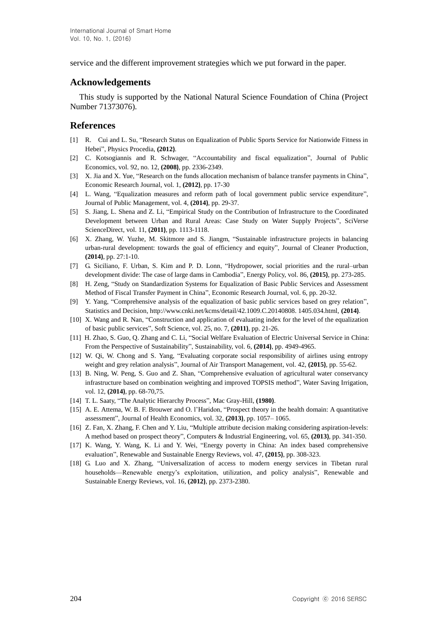service and the different improvement strategies which we put forward in the paper.

# **Acknowledgements**

This study is supported by the National Natural Science Foundation of China (Project Number 71373076).

## **References**

- [1] R. Cui and L. Su, "Research Status on Equalization of Public Sports Service for Nationwide Fitness in Hebei", Physics Procedia, **(2012)**.
- [2] C. Kotsogiannis and R. Schwager, "Accountability and fiscal equalization", Journal of Public Economics, vol. 92, no. 12, **(2008)**, pp. 2336-2349.
- [3] X. Jia and X. Yue, "Research on the funds allocation mechanism of balance transfer payments in China", Economic Research Journal, vol. 1, **(2012)**, pp. 17-30
- [4] L. Wang, "Equalization measures and reform path of local government public service expenditure", Journal of Public Management, vol. 4, **(2014)**, pp. 29-37.
- [5] S. Jiang, L. Shena and Z. Li, "Empirical Study on the Contribution of Infrastructure to the Coordinated Development between Urban and Rural Areas: Case Study on Water Supply Projects", SciVerse ScienceDirect, vol. 11, **(2011)**, pp. 1113-1118.
- [6] X. Zhang, W. Yuzhe, M. Skitmore and S. Jiangm, "Sustainable infrastructure projects in balancing urban-rural development: towards the goal of efficiency and equity", Journal of Cleaner Production, **(2014)**, pp. 27:1-10.
- [7] G. Siciliano, F. Urban, S. Kim and P. D. Lonn, "Hydropower, social priorities and the rural–urban development divide: The case of large dams in Cambodia", Energy Policy, vol. 86, **(2015)**, pp. 273-285.
- [8] H. Zeng, "Study on Standardization Systems for Equalization of Basic Public Services and Assessment Method of Fiscal Transfer Payment in China", Economic Research Journal, vol. 6, pp. 20-32.
- [9] Y. Yang, "Comprehensive analysis of the equalization of basic public services based on grey relation", Statistics and Decision, http://www.cnki.net/kcms/detail/42.1009.C.20140808. 1405.034.html, **(2014)**.
- [10] X. Wang and R. Nan, "Construction and application of evaluating index for the level of the equalization of basic public services", Soft Science, vol. 25, no. 7, **(2011)**, pp. 21-26.
- [11] H. Zhao, S. Guo, Q. Zhang and C. Li, "Social Welfare Evaluation of Electric Universal Service in China: From the Perspective of Sustainability", Sustainability, vol. 6, **(2014)**, pp. 4949-4965.
- [12] W. Qi, W. Chong and S. Yang, "Evaluating corporate social responsibility of airlines using entropy weight and grey relation analysis", Journal of Air Transport Management, vol. 42, **(2015)**, pp. 55-62.
- [13] B. Ning, W. Peng, S. Guo and Z. Shan, "Comprehensive evaluation of agricultural water conservancy infrastructure based on combination weighting and improved TOPSIS method", Water Saving Irrigation, vol. 12, **(2014)**, pp. 68-70,75.
- [14] T. L. Saaty, "The Analytic Hierarchy Process", Mac Gray-Hill, **(1980)**.
- [15] A. E. Attema, W. B. F. Brouwer and O. l'Haridon, "Prospect theory in the health domain: A quantitative assessment", Journal of Health Economics, vol. 32, **(2013)**, pp. 1057– 1065.
- [16] Z. Fan, X. Zhang, F. Chen and Y. Liu, "Multiple attribute decision making considering aspiration-levels: A method based on prospect theory", Computers & Industrial Engineering, vol. 65, **(2013)**, pp. 341-350.
- [17] K. Wang, Y. Wang, K. Li and Y. Wei, "Energy poverty in China: An index based comprehensive evaluation", Renewable and Sustainable Energy Reviews, vol. 47, **(2015)**, pp. 308-323.
- [18] G. Luo and X. Zhang, "Universalization of access to modern energy services in Tibetan rural households—Renewable energy's exploitation, utilization, and policy analysis", Renewable and Sustainable Energy Reviews, vol. 16, **(2012)**, pp. 2373-2380.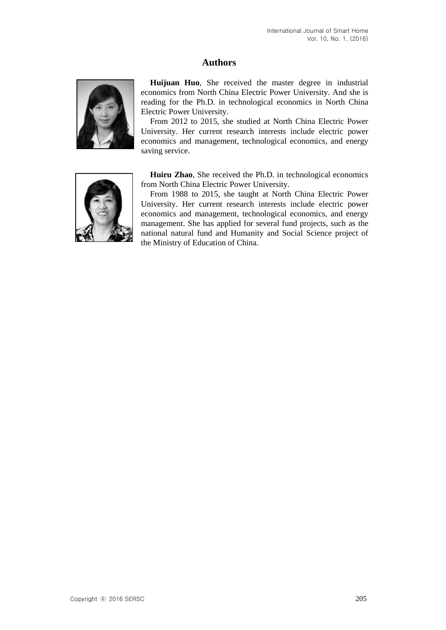# **Authors**



**Huijuan Huo**, She received the master degree in industrial economics from North China Electric Power University. And she is reading for the Ph.D. in technological economics in North China Electric Power University.

From 2012 to 2015, she studied at North China Electric Power University. Her current research interests include electric power economics and management, technological economics, and energy saving service.



**Huiru Zhao**, She received the Ph.D. in technological economics from North China Electric Power University.

From 1988 to 2015, she taught at North China Electric Power University. Her current research interests include electric power economics and management, technological economics, and energy management. She has applied for several fund projects, such as the national natural fund and Humanity and Social Science project of the Ministry of Education of China.